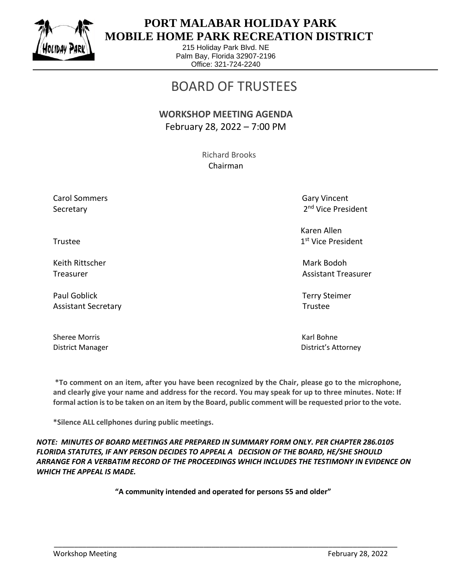

 $\overline{a}$ 

## **PORT MALABAR HOLIDAY PARK MOBILE HOME PARK RECREATION DISTRICT**

215 Holiday Park Blvd. NE Palm Bay, Florida 32907-2196 Office: 321-724-2240

# BOARD OF TRUSTEES

#### **WORKSHOP MEETING AGENDA** February 28, 2022 – 7:00 PM

 Richard Brooks Chairman

Carol Sommers Gary Vincent Secretary

2<sup>nd</sup> Vice President

 Karen Allen 1st Vice President

Treasurer Assistant Treasurer Assistant Treasurer Assistant Treasurer Assistant Treasurer

District Manager District's Attorney

Trustee and the state of the state of the state of the state of the state of the state of the state of the state of the state of the state of the state of the state of the state of the state of the state of the state of th

Keith Rittscher Mark Bodoh (Mark Bodoh Mark Bodoh Mark Bodoh Mark Bodoh Mark Bodoh Mark Bodoh Mark Bodoh Mark

Paul Goblick Terry Steimer Assistant Secretary **Trustee** 

Sheree Morris **Karl Bohne** Karl Bohne

**\*To comment on an item, after you have been recognized by the Chair, please go to the microphone, and clearly give your name and address for the record. You may speak for up to three minutes. Note: If formal action is to be taken on an item by the Board, public comment will be requested prior to the vote.**

**\*Silence ALL cellphones during public meetings.**

*NOTE: MINUTES OF BOARD MEETINGS ARE PREPARED IN SUMMARY FORM ONLY. PER CHAPTER 286.0105 FLORIDA STATUTES, IF ANY PERSON DECIDES TO APPEAL A DECISION OF THE BOARD, HE/SHE SHOULD ARRANGE FOR A VERBATIM RECORD OF THE PROCEEDINGS WHICH INCLUDES THE TESTIMONY IN EVIDENCE ON WHICH THE APPEAL IS MADE.*

**"A community intended and operated for persons 55 and older"**

\_\_\_\_\_\_\_\_\_\_\_\_\_\_\_\_\_\_\_\_\_\_\_\_\_\_\_\_\_\_\_\_\_\_\_\_\_\_\_\_\_\_\_\_\_\_\_\_\_\_\_\_\_\_\_\_\_\_\_\_\_\_\_\_\_\_\_\_\_\_\_\_\_\_\_\_\_\_\_\_\_\_\_\_\_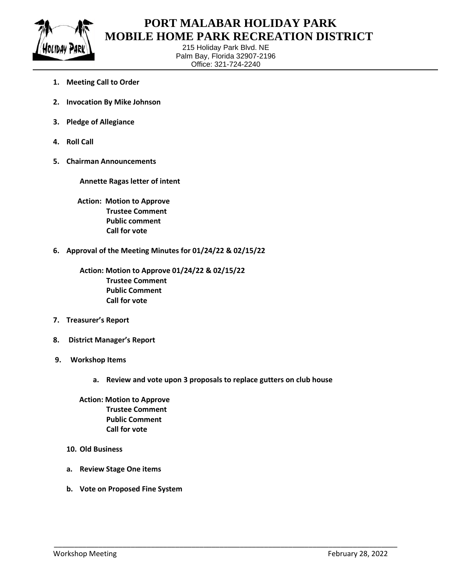

 $\overline{a}$ 

### **PORT MALABAR HOLIDAY PARK MOBILE HOME PARK RECREATION DISTRICT**

215 Holiday Park Blvd. NE Palm Bay, Florida 32907-2196 Office: 321-724-2240

- **1. Meeting Call to Order**
- **2. Invocation By Mike Johnson**
- **3. Pledge of Allegiance**
- **4. Roll Call**
- **5. Chairman Announcements**

**Annette Ragas letter of intent**

 **Action: Motion to Approve Trustee Comment Public comment Call for vote**

**6. Approval of the Meeting Minutes for 01/24/22 & 02/15/22**

**Action: Motion to Approve 01/24/22 & 02/15/22 Trustee Comment Public Comment Call for vote**

- **7. Treasurer's Report**
- **8. District Manager's Report**
- **9. Workshop Items**
	- **a. Review and vote upon 3 proposals to replace gutters on club house**

\_\_\_\_\_\_\_\_\_\_\_\_\_\_\_\_\_\_\_\_\_\_\_\_\_\_\_\_\_\_\_\_\_\_\_\_\_\_\_\_\_\_\_\_\_\_\_\_\_\_\_\_\_\_\_\_\_\_\_\_\_\_\_\_\_\_\_\_\_\_\_\_\_\_\_\_\_\_\_\_\_\_\_\_\_

 **Action: Motion to Approve Trustee Comment Public Comment Call for vote**

- **10. Old Business**
- **a. Review Stage One items**
- **b. Vote on Proposed Fine System**